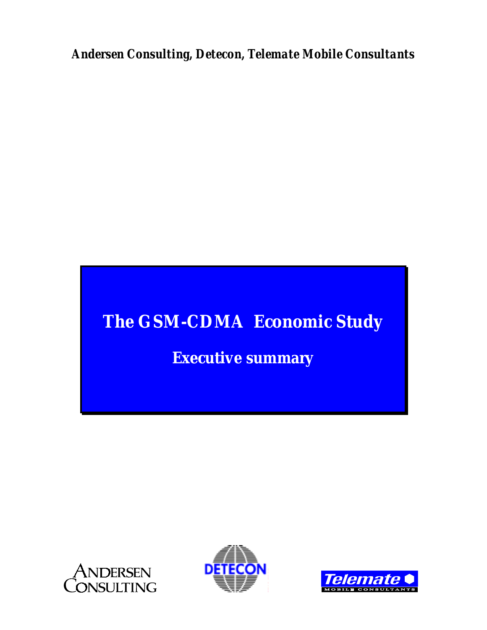*Andersen Consulting, Detecon, Telemate Mobile Consultants*

# **The GSM-CDMA Economic Study**

## **Executive summary**





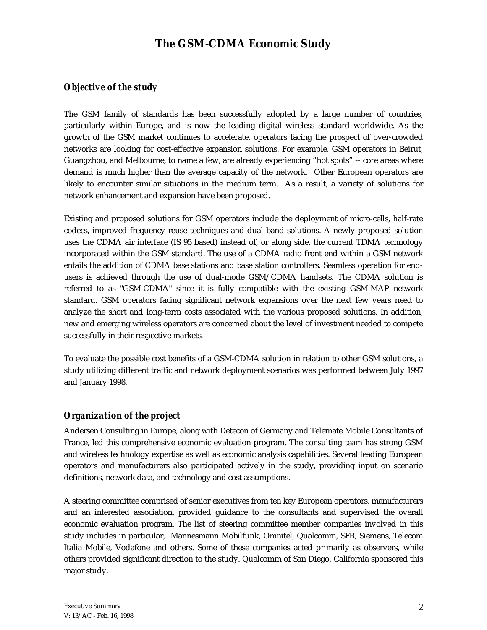## **The GSM-CDMA Economic Study**

## *Objective of the study*

The GSM family of standards has been successfully adopted by a large number of countries, particularly within Europe, and is now the leading digital wireless standard worldwide. As the growth of the GSM market continues to accelerate, operators facing the prospect of over-crowded networks are looking for cost-effective expansion solutions. For example, GSM operators in Beirut, Guangzhou, and Melbourne, to name a few, are already experiencing "hot spots" -- core areas where demand is much higher than the average capacity of the network. Other European operators are likely to encounter similar situations in the medium term. As a result, a variety of solutions for network enhancement and expansion have been proposed.

Existing and proposed solutions for GSM operators include the deployment of micro-cells, half-rate codecs, improved frequency reuse techniques and dual band solutions. A newly proposed solution uses the CDMA air interface (IS 95 based) instead of, or along side, the current TDMA technology incorporated within the GSM standard. The use of a CDMA radio front end within a GSM network entails the addition of CDMA base stations and base station controllers. Seamless operation for endusers is achieved through the use of dual-mode GSM/CDMA handsets. The CDMA solution is referred to as "GSM-CDMA" since it is fully compatible with the existing GSM-MAP network standard. GSM operators facing significant network expansions over the next few years need to analyze the short and long-term costs associated with the various proposed solutions. In addition, new and emerging wireless operators are concerned about the level of investment needed to compete successfully in their respective markets.

To evaluate the possible cost benefits of a GSM-CDMA solution in relation to other GSM solutions, a study utilizing different traffic and network deployment scenarios was performed between July 1997 and January 1998.

## *Organization of the project*

Andersen Consulting in Europe, along with Detecon of Germany and Telemate Mobile Consultants of France, led this comprehensive economic evaluation program. The consulting team has strong GSM and wireless technology expertise as well as economic analysis capabilities. Several leading European operators and manufacturers also participated actively in the study, providing input on scenario definitions, network data, and technology and cost assumptions.

A steering committee comprised of senior executives from ten key European operators, manufacturers and an interested association, provided guidance to the consultants and supervised the overall economic evaluation program. The list of steering committee member companies involved in this study includes in particular, Mannesmann Mobilfunk, Omnitel, Qualcomm, SFR, Siemens, Telecom Italia Mobile, Vodafone and others. Some of these companies acted primarily as observers, while others provided significant direction to the study. Qualcomm of San Diego, California sponsored this major study.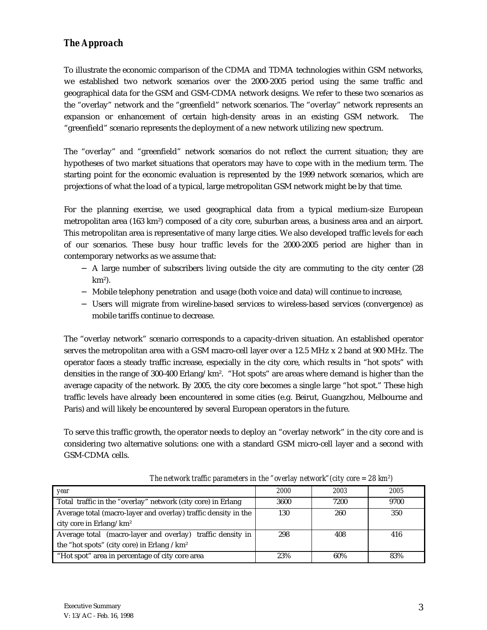## *The Approach*

To illustrate the economic comparison of the CDMA and TDMA technologies within GSM networks, we established two network scenarios over the 2000-2005 period using the same traffic and geographical data for the GSM and GSM-CDMA network designs. We refer to these two scenarios as the "overlay" network and the "greenfield" network scenarios. The "overlay" network represents an expansion or enhancement of certain high-density areas in an existing GSM network. The "greenfield" scenario represents the deployment of a new network utilizing new spectrum.

The "overlay" and "greenfield" network scenarios do not reflect the current situation; they are hypotheses of two market situations that operators may have to cope with in the medium term. The starting point for the economic evaluation is represented by the 1999 network scenarios, which are projections of what the load of a typical, large metropolitan GSM network might be by that time.

For the planning exercise, we used geographical data from a typical medium-size European metropolitan area (163 km²) composed of a city core, suburban areas, a business area and an airport. This metropolitan area is representative of many large cities. We also developed traffic levels for each of our scenarios. These busy hour traffic levels for the 2000-2005 period are higher than in contemporary networks as we assume that:

- − A large number of subscribers living outside the city are commuting to the city center (28 km²).
- − Mobile telephony penetration and usage (both voice and data) will continue to increase,
- − Users will migrate from wireline-based services to wireless-based services (convergence) as mobile tariffs continue to decrease.

The "overlay network" scenario corresponds to a capacity-driven situation. An established operator serves the metropolitan area with a GSM macro-cell layer over a 12.5 MHz x 2 band at 900 MHz. The operator faces a steady traffic increase, especially in the city core, which results in "hot spots" with densities in the range of 300-400 Erlang/km². "Hot spots" are areas where demand is higher than the average capacity of the network. By 2005, the city core becomes a single large "hot spot." These high traffic levels have already been encountered in some cities (e.g. Beirut, Guangzhou, Melbourne and Paris) and will likely be encountered by several European operators in the future.

To serve this traffic growth, the operator needs to deploy an "overlay network" in the city core and is considering two alternative solutions: one with a standard GSM micro-cell layer and a second with GSM-CDMA cells.

| year                                                           | 2000 | 2003 | 2005 |
|----------------------------------------------------------------|------|------|------|
| Total traffic in the "overlay" network (city core) in Erlang   | 3600 | 7200 | 9700 |
| Average total (macro-layer and overlay) traffic density in the | 130  | 260  | 350  |
| city core in Erlang/ $km^2$                                    |      |      |      |
| Average total (macro-layer and overlay) traffic density in     | 298  | 408  | 416  |
| the "hot spots" (city core) in Erlang $/km^2$                  |      |      |      |
| "Hot spot" area in percentage of city core area                | 23%  | 60%  | 83%  |

*The network traffic parameters in the "overlay network"(city core = 28 km²)*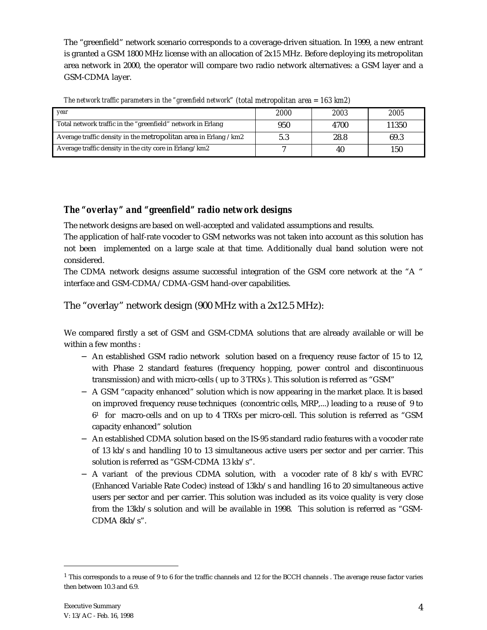The "greenfield" network scenario corresponds to a coverage-driven situation. In 1999, a new entrant is granted a GSM 1800 MHz license with an allocation of 2x15 MHz. Before deploying its metropolitan area network in 2000, the operator will compare two radio network alternatives: a GSM layer and a GSM-CDMA layer.

| vear                                                            | <i>2000</i> | 2003 | 2005  |
|-----------------------------------------------------------------|-------------|------|-------|
| Total network traffic in the "greenfield" network in Erlang     | 950         | 4700 | 11350 |
| Average traffic density in the metropolitan area in Erlang /km2 | 5.3         | 28.8 | 69.3  |
| Average traffic density in the city core in Erlang/km2          |             | 40   | 150   |

*The network traffic parameters in the "greenfield network" (total metropolitan area = 163 km2)*

## *The "overlay" and "greenfield" radio network designs*

The network designs are based on well-accepted and validated assumptions and results.

The application of half-rate vocoder to GSM networks was not taken into account as this solution has not been implemented on a large scale at that time. Additionally dual band solution were not considered.

The CDMA network designs assume successful integration of the GSM core network at the "A " interface and GSM-CDMA/CDMA-GSM hand-over capabilities.

The "overlay" network design (900 MHz with a 2x12.5 MHz):

We compared firstly a set of GSM and GSM-CDMA solutions that are already available or will be within a few months :

- − An established GSM radio network solution based on a frequency reuse factor of 15 to 12, with Phase 2 standard features (frequency hopping, power control and discontinuous transmission) and with micro-cells ( up to 3 TRXs ). This solution is referred as "GSM"
- − A GSM "capacity enhanced" solution which is now appearing in the market place. It is based on improved frequency reuse techniques (concentric cells, MRP,...) leading to a reuse of 9 to  $6<sup>1</sup>$  for macro-cells and on up to 4 TRXs per micro-cell. This solution is referred as "GSM capacity enhanced" solution
- − An established CDMA solution based on the IS-95 standard radio features with a vocoder rate of 13 kb/s and handling 10 to 13 simultaneous active users per sector and per carrier. This solution is referred as "GSM-CDMA 13 kb/s".
- − A variant of the previous CDMA solution, with a vocoder rate of 8 kb/s with EVRC (Enhanced Variable Rate Codec) instead of 13kb/s and handling 16 to 20 simultaneous active users per sector and per carrier. This solution was included as its voice quality is very close from the 13kb/s solution and will be available in 1998. This solution is referred as "GSM-CDMA 8kb/s".

 $\overline{a}$ 

<sup>1</sup> This corresponds to a reuse of 9 to 6 for the traffic channels and 12 for the BCCH channels . The average reuse factor varies then between 10.3 and 6.9.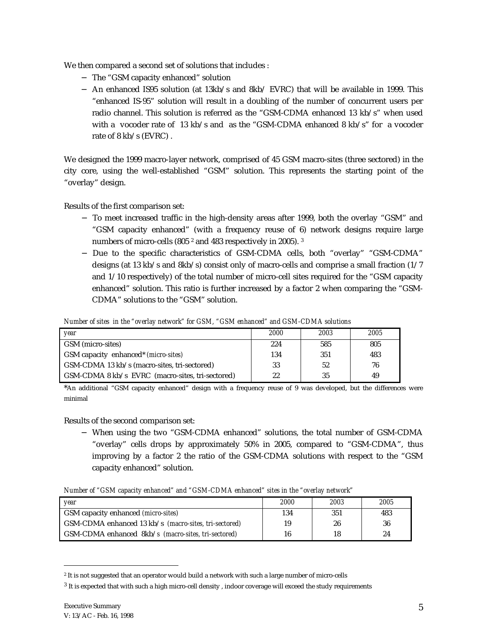We then compared a second set of solutions that includes :

- − The "GSM capacity enhanced" solution
- − An enhanced IS95 solution (at 13kb/s and 8kb/ EVRC) that will be available in 1999. This "enhanced IS-95" solution will result in a doubling of the number of concurrent users per radio channel. This solution is referred as the "GSM-CDMA enhanced 13 kb/s" when used with a vocoder rate of 13 kb/s and as the "GSM-CDMA enhanced  $8 \text{ kb/s}$ " for a vocoder rate of 8 kb/s (EVRC) .

We designed the 1999 macro-layer network, comprised of 45 GSM macro-sites (three sectored) in the city core, using the well-established "GSM" solution. This represents the starting point of the "overlay" design.

Results of the first comparison set:

- − To meet increased traffic in the high-density areas after 1999, both the overlay "GSM" and "GSM capacity enhanced" (with a frequency reuse of 6) network designs require large numbers of micro-cells (805 2 and 483 respectively in 2005). 3
- − Due to the specific characteristics of GSM-CDMA cells, both "overlay" "GSM-CDMA" designs (at 13 kb/s and 8kb/s) consist only of macro-cells and comprise a small fraction (1/7 and 1/10 respectively) of the total number of micro-cell sites required for the "GSM capacity enhanced" solution. This ratio is further increased by a factor 2 when comparing the "GSM-CDMA" solutions to the "GSM" solution.

*Number of sites in the "overlay network" for GSM, "GSM enhanced" and GSM-CDMA solutions*

| vear                                             | <i>2000</i> | 2003 | 2005 |
|--------------------------------------------------|-------------|------|------|
| GSM (micro-sites)                                | 224         | 585  | 805  |
| GSM capacity enhanced <sup>*</sup> (micro-sites) | 134         | 351  | 483  |
| GSM-CDMA 13 kb/s (macro-sites, tri-sectored)     | 33          | 52   | 76   |
| GSM-CDMA 8 kb/s EVRC (macro-sites, tri-sectored) | 22          | 35   | 49   |

\*An additional "GSM capacity enhanced" design with a frequency reuse of 9 was developed, but the differences were minimal

Results of the second comparison set:

− When using the two "GSM-CDMA enhanced" solutions, the total number of GSM-CDMA "overlay" cells drops by approximately 50% in 2005, compared to "GSM-CDMA", thus improving by a factor 2 the ratio of the GSM-CDMA solutions with respect to the "GSM capacity enhanced" solution.

*Number of "GSM capacity enhanced" and "GSM-CDMA enhanced" sites in the "overlay network"*

| vear                                                  | 2000 | 2003 | 2005 |
|-------------------------------------------------------|------|------|------|
| GSM capacity enhanced (micro-sites)                   | 134  | 351  | 483  |
| GSM-CDMA enhanced 13 kb/s (macro-sites, tri-sectored) | 19   | 26   | 36   |
| GSM-CDMA enhanced 8kb/s (macro-sites, tri-sectored)   | 16   | 18   | 24   |

<sup>2</sup> It is not suggested that an operator would build a network with such a large number of micro-cells

 $\overline{a}$ 

<sup>3</sup> It is expected that with such a high micro-cell density , indoor coverage will exceed the study requirements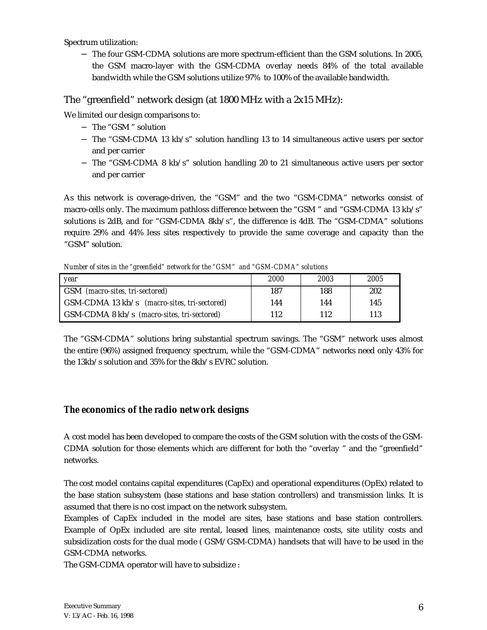Spectrum utilization:

− The four GSM-CDMA solutions are more spectrum-efficient than the GSM solutions. In 2005, the GSM macro-layer with the GSM-CDMA overlay needs 84% of the total available bandwidth while the GSM solutions utilize 97% to 100% of the available bandwidth.

#### The "greenfield" network design (at 1800 MHz with a 2x15 MHz):

We limited our design comparisons to:

- − The "GSM " solution
- − The "GSM-CDMA 13 kb/s" solution handling 13 to 14 simultaneous active users per sector and per carrier
- − The "GSM-CDMA 8 kb/s" solution handling 20 to 21 simultaneous active users per sector and per carrier

As this network is coverage-driven, the "GSM" and the two "GSM-CDMA" networks consist of macro-cells only. The maximum pathloss difference between the "GSM " and "GSM-CDMA 13 kb/s" solutions is 2dB, and for "GSM-CDMA 8kb/s", the difference is 4dB. The "GSM-CDMA" solutions require 29% and 44% less sites respectively to provide the same coverage and capacity than the "GSM" solution.

*Number of sites in the "greenfield" network for the "GSM" and "GSM-CDMA" solutions*

| vear                                                          | <i>2000</i> | 2003 | 2005 |
|---------------------------------------------------------------|-------------|------|------|
| GSM (macro-sites, tri-sectored)                               | 187         | 188  | 202  |
| GSM-CDMA 13 kb/s (macro-sites, tri-sectored)                  | 144         | 144  | 145  |
| $\text{GSM-CDMA } 8 \text{ kb/s}$ (macro-sites, tri-sectored) | 112         | 112  | 113  |

The "GSM-CDMA" solutions bring substantial spectrum savings. The "GSM" network uses almost the entire (96%) assigned frequency spectrum, while the "GSM-CDMA" networks need only 43% for the 13kb/s solution and 35% for the 8kb/s EVRC solution.

## *The economics of the radio network designs*

A cost model has been developed to compare the costs of the GSM solution with the costs of the GSM-CDMA solution for those elements which are different for both the "overlay " and the "greenfield" networks.

The cost model contains capital expenditures (CapEx) and operational expenditures (OpEx) related to the base station subsystem (base stations and base station controllers) and transmission links. It is assumed that there is no cost impact on the network subsystem.

Examples of CapEx included in the model are sites, base stations and base station controllers. Example of OpEx included are site rental, leased lines, maintenance costs, site utility costs and subsidization costs for the dual mode ( GSM/GSM-CDMA) handsets that will have to be used in the GSM-CDMA networks.

The GSM-CDMA operator will have to subsidize :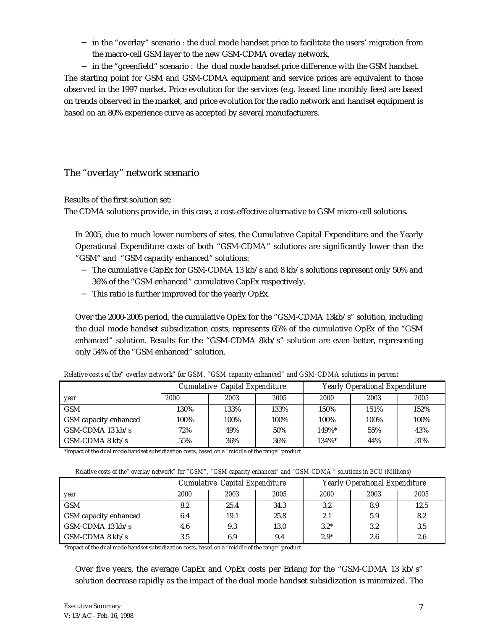− in the "overlay" scenario : the dual mode handset price to facilitate the users' migration from the macro-cell GSM layer to the new GSM-CDMA overlay network,

− in the "greenfield" scenario : the dual mode handset price difference with the GSM handset. The starting point for GSM and GSM-CDMA equipment and service prices are equivalent to those observed in the 1997 market. Price evolution for the services (e.g. leased line monthly fees) are based on trends observed in the market, and price evolution for the radio network and handset equipment is based on an 80% experience curve as accepted by several manufacturers.

## The "overlay" network scenario

Results of the first solution set:

The CDMA solutions provide, in this case, a cost-effective alternative to GSM micro-cell solutions.

In 2005, due to much lower numbers of sites, the Cumulative Capital Expenditure and the Yearly Operational Expenditure costs of both "GSM-CDMA" solutions are significantly lower than the "GSM" and "GSM capacity enhanced" solutions:

- − The cumulative CapEx for GSM-CDMA 13 kb/s and 8 kb/s solutions represent only 50% and 36% of the "GSM enhanced" cumulative CapEx respectively.
- − This ratio is further improved for the yearly OpEx.

Over the 2000-2005 period, the cumulative OpEx for the "GSM-CDMA 13kb/s" solution, including the dual mode handset subsidization costs, represents 65% of the cumulative OpEx of the "GSM enhanced" solution. Results for the "GSM-CDMA 8kb/s" solution are even better, representing only 54% of the "GSM enhanced" solution.

|                               | Cumulative Capital Expenditure |      |      | <b>Yearly Operational Expenditure</b> |      |      |
|-------------------------------|--------------------------------|------|------|---------------------------------------|------|------|
| year                          | 2000                           | 2003 | 2005 | 2000                                  | 2003 | 2005 |
| <b>GSM</b>                    | 130%                           | 133% | 133% | 150%                                  | 151% | 152% |
| <b>GSM</b> capacity enhanced  | 100%                           | 100% | 100% | 100%                                  | 100% | 100% |
| $\Gamma$ GSM-CDMA 13 kb/s     | 72%                            | 49%  | 50%  | 149%*                                 | 55%  | 43%  |
| $\overline{GSM}$ -CDMA 8 kb/s | 55%                            | 36%  | 36%  | 134%*                                 | 44%  | 31%  |

*Relative costs of the" overlay network" for GSM, "GSM capacity enhanced" and GSM-CDMA solutions in percent*

\*Impact of the dual mode handset subsidization costs, based on a "middle of the range" product

|                              | Cumulative Capital Expenditure |      |      | <b>Yearly Operational Expenditure</b> |      |      |
|------------------------------|--------------------------------|------|------|---------------------------------------|------|------|
| <i>year</i>                  | 2000                           | 2003 | 2005 | 2000                                  | 2003 | 2005 |
| <b>GSM</b>                   | 8.2                            | 25.4 | 34.3 | $3.2\,$                               | 8.9  | 12.5 |
| <b>GSM</b> capacity enhanced | 6.4                            | 19.1 | 25.8 | 2.1                                   | 5.9  | 8.2  |
| GSM-CDMA 13 $kb/s$           | 4.6                            | 9.3  | 13.0 | $3.2*$                                | 3.2  | 3.5  |
| $GSM$ -CDMA 8 kb/s           | 3.5                            | 6.9  | 9.4  | $2.9*$                                | 2.6  | 2.6  |

\*Impact of the dual mode handset subsidization costs, based on a "middle of the range" product

Over five years, the average CapEx and OpEx costs per Erlang for the "GSM-CDMA 13 kb/s" solution decrease rapidly as the impact of the dual mode handset subsidization is minimized. The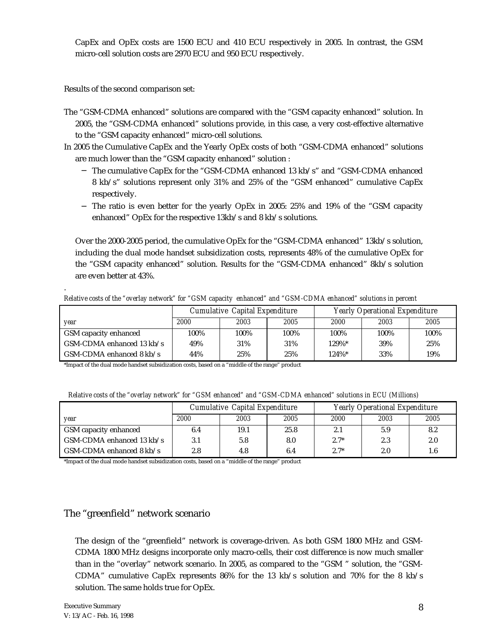CapEx and OpEx costs are 1500 ECU and 410 ECU respectively in 2005. In contrast, the GSM micro-cell solution costs are 2970 ECU and 950 ECU respectively.

Results of the second comparison set:

- The "GSM-CDMA enhanced" solutions are compared with the "GSM capacity enhanced" solution. In 2005, the "GSM-CDMA enhanced" solutions provide, in this case, a very cost-effective alternative to the "GSM capacity enhanced" micro-cell solutions.
- In 2005 the Cumulative CapEx and the Yearly OpEx costs of both "GSM-CDMA enhanced" solutions are much lower than the "GSM capacity enhanced" solution :
	- − The cumulative CapEx for the "GSM-CDMA enhanced 13 kb/s" and "GSM-CDMA enhanced 8 kb/s" solutions represent only 31% and 25% of the "GSM enhanced" cumulative CapEx respectively.
	- − The ratio is even better for the yearly OpEx in 2005: 25% and 19% of the "GSM capacity enhanced" OpEx for the respective 13kb/s and 8 kb/s solutions.

Over the 2000-2005 period, the cumulative OpEx for the "GSM-CDMA enhanced" 13kb/s solution, including the dual mode handset subsidization costs, represents 48% of the cumulative OpEx for the "GSM capacity enhanced" solution. Results for the "GSM-CDMA enhanced" 8kb/s solution are even better at 43%.

*Relative costs of the "overlay network" for "GSM capacity enhanced" and "GSM-CDMA enhanced" solutions in percent*

|                                     | Cumulative Capital Expenditure |      |      | <b>Yearly Operational Expenditure</b> |      |      |
|-------------------------------------|--------------------------------|------|------|---------------------------------------|------|------|
| vear                                | 2000                           | 2003 | 2005 | 2000                                  | 2003 | 2005 |
| GSM capacity enhanced               | 100%                           | 100% | 100% | 100%                                  | 100% | 100% |
| GSM-CDMA enhanced $13 \text{ kb/s}$ | 49%                            | 31%  | 31%  | 129%*                                 | 39%  | 25%  |
| GSM-CDMA enhanced $8 \text{ kb/s}$  | 44%                            | 25%  | 25%  | $124\%$ *                             | 33%  | 19%  |

\*Impact of the dual mode handset subsidization costs, based on a "middle of the range" product

|  |  |  | Relative costs of the "overlay network" for "GSM enhanced" and "GSM-CDMA enhanced" solutions in ECU (Millions) |  |
|--|--|--|----------------------------------------------------------------------------------------------------------------|--|
|--|--|--|----------------------------------------------------------------------------------------------------------------|--|

|                                  | Cumulative Capital Expenditure |      |      | <b>Yearly Operational Expenditure</b> |      |      |
|----------------------------------|--------------------------------|------|------|---------------------------------------|------|------|
| year                             | 2000                           | 2003 | 2005 | 2000                                  | 2003 | 2005 |
| <b>GSM</b> capacity enhanced     | 6.4                            | 19.1 | 25.8 | 2.1                                   | 5.9  | 8.2  |
| $\sim$ GSM-CDMA enhanced 13 kb/s | 3.1                            | 5.8  | 8.0  | $2.7*$                                | 2.3  | 2.0  |
| $\sim$ GSM-CDMA enhanced 8 kb/s  | 2.8                            | 4.8  | 6.4  | $2.7*$                                | 2.0  | 1.6  |

\*Impact of the dual mode handset subsidization costs, based on a "middle of the range" product

## The "greenfield" network scenario

The design of the "greenfield" network is coverage-driven. As both GSM 1800 MHz and GSM-CDMA 1800 MHz designs incorporate only macro-cells, their cost difference is now much smaller than in the "overlay" network scenario. In 2005, as compared to the "GSM " solution, the "GSM-CDMA" cumulative CapEx represents  $86\%$  for the 13 kb/s solution and 70% for the 8 kb/s solution. The same holds true for OpEx.

.